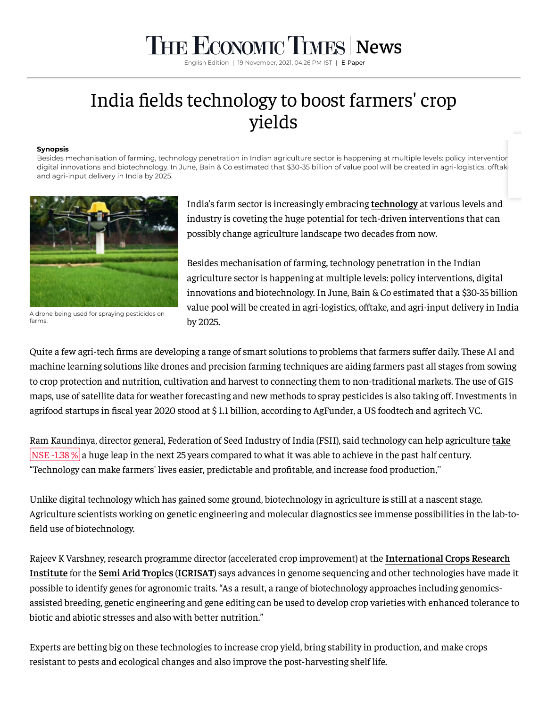## **THE ECONOMIC TIMES** [News](https://economictimes.indiatimes.com/news)

English Edition | 19 November, 2021, 04:26 PM IST | E-Pape

## India fields technology to boost farmers' crop yields

## **Synopsis**

Besides mechanisation of farming, technology penetration in Indian agriculture sector is happening at multiple levels: policy intervention digital innovations and biotechnology. In June, Bain & Co estimated that \$30-35 billion of value pool will be created in agri-logistics, offtak and agri-input delivery in India by 2025.



A drone being used for spraying pesticides on farms.

India's farm sector is increasingly embracing **[technology](https://economictimes.indiatimes.com/topic/technology)** at various levels and industry is coveting the huge potential for tech-driven interventions that can possibly change agriculture landscape two decades from now.

Besides mechanisation of farming, technology penetration in the Indian agriculture sector is happening at multiple levels: policy interventions, digital innovations and biotechnology. In June, Bain & Co estimated that a \$30-35 billion value pool will be created in agri-logistics, offtake, and agri-input delivery in India by 2025.

Quite a few agri-tech firms are developing a range of smart solutions to problems that farmers suffer daily. These AI and machine learning solutions like drones and precision farming techniques are aiding farmers past all stages from sowing to crop protection and nutrition, cultivation and harvest to connecting them to non-traditional markets. The use of GIS maps, use of satellite data for weather forecasting and new methods to spray pesticides is also taking off. Investments in agrifood startups in fiscal year 2020 stood at \$ 1.1 billion, according to AgFunder, a US foodtech and agritech VC.

Ram Kaundinya, director general, Federation of Seed Industry of India (FSII), said technology can help agriculture **[take](https://economictimes.indiatimes.com/take-solutions-ltd/stocks/companyid-18603.cms)** NSE [-1.38 %](https://economictimes.indiatimes.com/take-solutions-ltd/stocks/companyid-18603.cms) a huge leap in the next 25 years compared to what it was able to achieve in the past half century. "Technology can make farmers' lives easier, predictable and profitable, and increase food production,''

Unlike digital technology which has gained some ground, biotechnology in agriculture is still at a nascent stage. Agriculture scientists working on genetic engineering and molecular diagnostics see immense possibilities in the lab-to field use of biotechnology.

Rajeev K Varshney, [research programme](https://economictimes.indiatimes.com/topic/International-Crops-Research-Institute) director (accelerated crop improvement) at the **International Crops Research Institute** for the **Semi [Arid Tropics](https://economictimes.indiatimes.com/topic/Semi-Arid-Tropics)** (**[ICRISAT](https://economictimes.indiatimes.com/topic/ICRISAT)**) says advances in genome sequencing and other technologies have made it possible to identify genes for agronomic traits. "As a result, a range of biotechnology approaches including genomicsassisted breeding, genetic engineering and gene editing can be used to develop crop varieties with enhanced tolerance to biotic and abiotic stresses and also with better nutrition."

Experts are betting big on these technologies to increase crop yield, bring stability in production, and make crops resistant to pests and ecological changes and also improve the post-harvesting shelf life.